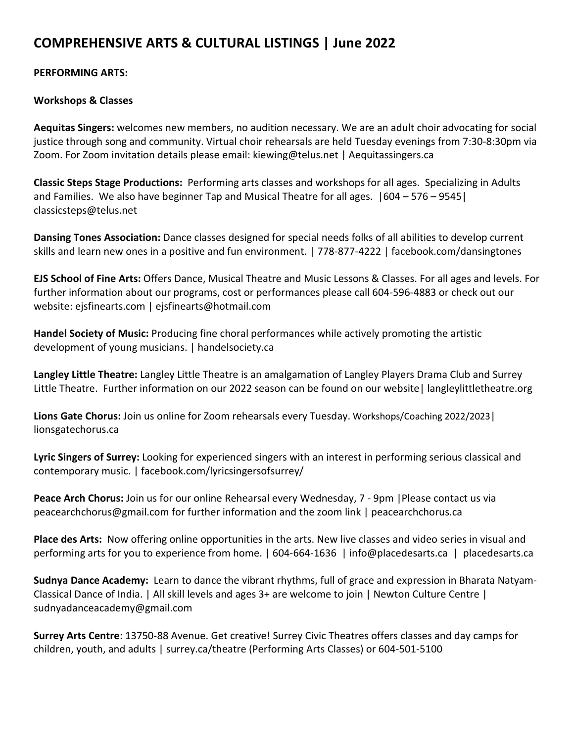# **COMPREHENSIVE ARTS & CULTURAL LISTINGS | June 2022**

#### **PERFORMING ARTS:**

# **Workshops & Classes**

**Aequitas Singers:** welcomes new members, no audition necessary. We are an adult choir advocating for social justice through song and community. Virtual choir rehearsals are held Tuesday evenings from 7:30-8:30pm via Zoom. For Zoom invitation details please email: kiewing@telus.net | Aequitassingers.ca

**Classic Steps Stage Productions:** Performing arts classes and workshops for all ages. Specializing in Adults and Families. We also have beginner Tap and Musical Theatre for all ages. |604 – 576 – 9545| classicsteps@telus.net

**Dansing Tones Association:** Dance classes designed for special needs folks of all abilities to develop current skills and learn new ones in a positive and fun environment. | 778-877-4222 | facebook.com/dansingtones

**EJS School of Fine Arts:** Offers Dance, Musical Theatre and Music Lessons & Classes. For all ages and levels. For further information about our programs, cost or performances please call 604-596-4883 or check out our website: ejsfinearts.com | ejsfinearts@hotmail.com

**Handel Society of Music:** Producing fine choral performances while actively promoting the artistic development of young musicians. | handelsociety.ca

**Langley Little Theatre:** Langley Little Theatre is an amalgamation of Langley Players Drama Club and Surrey Little Theatre. Further information on our 2022 season can be found on our website| langleylittletheatre.org

**Lions Gate Chorus:** Join us online for Zoom rehearsals every Tuesday. Workshops/Coaching 2022/2023| lionsgatechorus.ca

**Lyric Singers of Surrey:** Looking for experienced singers with an interest in performing serious classical and contemporary music. | facebook.com/lyricsingersofsurrey/

**Peace Arch Chorus:** Join us for our online Rehearsal every Wednesday, 7 - 9pm |Please contact us via peacearchchorus@gmail.com for further information and the zoom link | peacearchchorus.ca

**Place des Arts:** Now offering online opportunities in the arts. New live classes and video series in visual and performing arts for you to experience from home. | 604-664-1636 | info@placedesarts.ca | placedesarts.ca

**Sudnya Dance Academy:** Learn to dance the vibrant rhythms, full of grace and expression in Bharata Natyam-Classical Dance of India. | All skill levels and ages 3+ are welcome to join | Newton Culture Centre | sudnyadanceacademy@gmail.com

**Surrey Arts Centre**: 13750-88 Avenue. Get creative! Surrey Civic Theatres offers classes and day camps for children, youth, and adults | surrey.ca/theatre (Performing Arts Classes) or 604-501-5100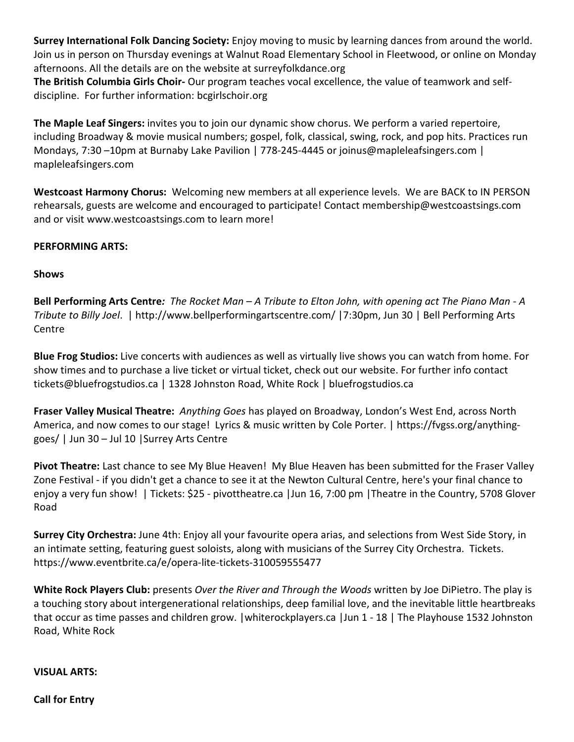**Surrey International Folk Dancing Society:** Enjoy moving to music by learning dances from around the world. Join us in person on Thursday evenings at Walnut Road Elementary School in Fleetwood, or online on Monday afternoons. All the details are on the website at surreyfolkdance.org

**The British Columbia Girls Choir-** Our program teaches vocal excellence, the value of teamwork and selfdiscipline. For further information: bcgirlschoir.org

**The Maple Leaf Singers:** invites you to join our dynamic show chorus. We perform a varied repertoire, including Broadway & movie musical numbers; gospel, folk, classical, swing, rock, and pop hits. Practices run Mondays, 7:30 –10pm at Burnaby Lake Pavilion | 778-245-4445 or joinus@mapleleafsingers.com | mapleleafsingers.com

**Westcoast Harmony Chorus:** Welcoming new members at all experience levels. We are BACK to IN PERSON rehearsals, guests are welcome and encouraged to participate! Contact membership@westcoastsings.com and or visit www.westcoastsings.com to learn more!

# **PERFORMING ARTS:**

#### **Shows**

**Bell Performing Arts Centre***: The Rocket Man – A Tribute to Elton John, with opening act The Piano Man - A Tribute to Billy Joel*. | http://www.bellperformingartscentre.com/ |7:30pm, Jun 30 | Bell Performing Arts Centre

**Blue Frog Studios:** Live concerts with audiences as well as virtually live shows you can watch from home. For show times and to purchase a live ticket or virtual ticket, check out our website. For further info contact tickets@bluefrogstudios.ca | 1328 Johnston Road, White Rock | bluefrogstudios.ca

**Fraser Valley Musical Theatre:** *Anything Goes* has played on Broadway, London's West End, across North America, and now comes to our stage! Lyrics & music written by Cole Porter. | https://fvgss.org/anythinggoes/ | Jun 30 – Jul 10 |Surrey Arts Centre

**Pivot Theatre:** Last chance to see My Blue Heaven! My Blue Heaven has been submitted for the Fraser Valley Zone Festival - if you didn't get a chance to see it at the Newton Cultural Centre, here's your final chance to enjoy a very fun show! | Tickets: \$25 - pivottheatre.ca |Jun 16, 7:00 pm |Theatre in the Country, 5708 Glover Road

**Surrey City Orchestra:** June 4th: Enjoy all your favourite opera arias, and selections from West Side Story, in an intimate setting, featuring guest soloists, along with musicians of the Surrey City Orchestra. Tickets. https://www.eventbrite.ca/e/opera-lite-tickets-310059555477

**White Rock Players Club:** presents *Over the River and Through the Woods* written by Joe DiPietro. The play is a touching story about intergenerational relationships, deep familial love, and the inevitable little heartbreaks that occur as time passes and children grow. |whiterockplayers.ca |Jun 1 - 18 | The Playhouse 1532 Johnston Road, White Rock

**VISUAL ARTS:** 

**Call for Entry**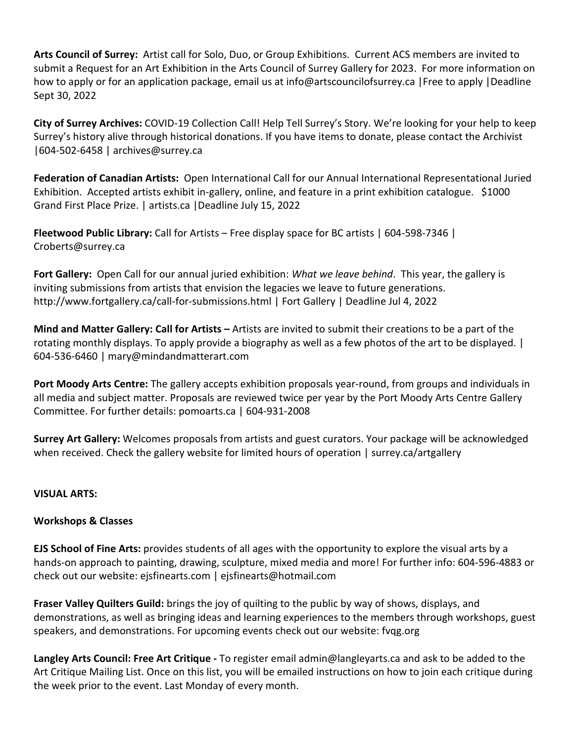**Arts Council of Surrey:** Artist call for Solo, Duo, or Group Exhibitions. Current ACS members are invited to submit a Request for an Art Exhibition in the Arts Council of Surrey Gallery for 2023. For more information on how to apply or for an application package, email us at info@artscouncilofsurrey.ca |Free to apply |Deadline Sept 30, 2022

**City of Surrey Archives:** COVID-19 Collection Call! Help Tell Surrey's Story. We're looking for your help to keep Surrey's history alive through historical donations. If you have items to donate, please contact the Archivist |604-502-6458 | archives@surrey.ca

**Federation of Canadian Artists:** Open International Call for our Annual International Representational Juried Exhibition. Accepted artists exhibit in-gallery, online, and feature in a print exhibition catalogue. \$1000 Grand First Place Prize. | artists.ca |Deadline July 15, 2022

**Fleetwood Public Library:** Call for Artists – Free display space for BC artists | 604-598-7346 | Croberts@surrey.ca

**Fort Gallery:** Open Call for our annual juried exhibition: *What we leave behind*. This year, the gallery is inviting submissions from artists that envision the legacies we leave to future generations. http://www.fortgallery.ca/call-for-submissions.html | Fort Gallery | Deadline Jul 4, 2022

**Mind and Matter Gallery: Call for Artists –** Artists are invited to submit their creations to be a part of the rotating monthly displays. To apply provide a biography as well as a few photos of the art to be displayed. | 604-536-6460 | mary@mindandmatterart.com

**Port Moody Arts Centre:** The gallery accepts exhibition proposals year-round, from groups and individuals in all media and subject matter. Proposals are reviewed twice per year by the Port Moody Arts Centre Gallery Committee. For further details: pomoarts.ca | 604-931-2008

**Surrey Art Gallery:** Welcomes proposals from artists and guest curators. Your package will be acknowledged when received. Check the gallery website for limited hours of operation | surrey.ca/artgallery

# **VISUAL ARTS:**

# **Workshops & Classes**

**EJS School of Fine Arts:** provides students of all ages with the opportunity to explore the visual arts by a hands-on approach to painting, drawing, sculpture, mixed media and more! For further info: 604-596-4883 or check out our website: ejsfinearts.com | ejsfinearts@hotmail.com

**Fraser Valley Quilters Guild:** brings the joy of quilting to the public by way of shows, displays, and demonstrations, as well as bringing ideas and learning experiences to the members through workshops, guest speakers, and demonstrations. For upcoming events check out our website: fvqg.org

**Langley Arts Council: Free Art Critique -** To register email admin@langleyarts.ca and ask to be added to the Art Critique Mailing List. Once on this list, you will be emailed instructions on how to join each critique during the week prior to the event. Last Monday of every month.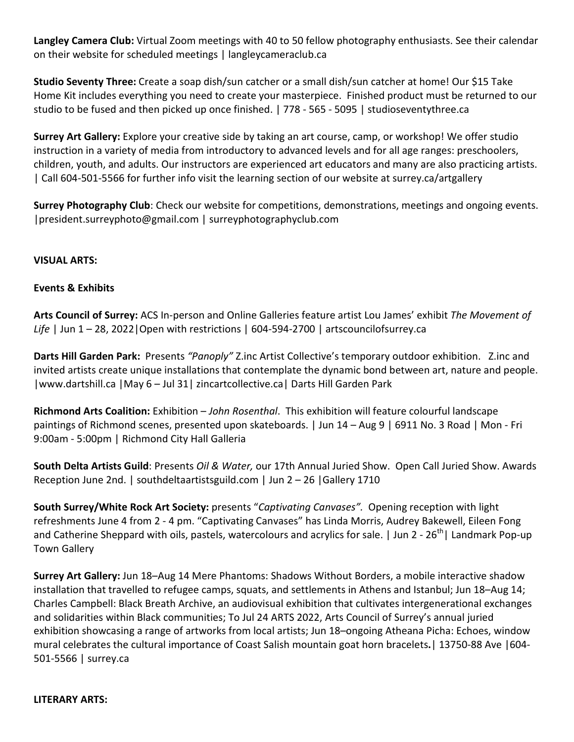**Langley Camera Club:** Virtual Zoom meetings with 40 to 50 fellow photography enthusiasts. See their calendar on their website for scheduled meetings | langleycameraclub.ca

**Studio Seventy Three:** Create a soap dish/sun catcher or a small dish/sun catcher at home! Our \$15 Take Home Kit includes everything you need to create your masterpiece. Finished product must be returned to our studio to be fused and then picked up once finished. | 778 - 565 - 5095 | studioseventythree.ca

**Surrey Art Gallery:** Explore your creative side by taking an art course, camp, or workshop! We offer studio instruction in a variety of media from introductory to advanced levels and for all age ranges: preschoolers, children, youth, and adults. Our instructors are experienced art educators and many are also practicing artists. | Call 604-501-5566 for further info visit the learning section of our website at surrey.ca/artgallery

**Surrey Photography Club**: Check our website for competitions, demonstrations, meetings and ongoing events. |president.surreyphoto@gmail.com | surreyphotographyclub.com

#### **VISUAL ARTS:**

#### **Events & Exhibits**

**Arts Council of Surrey:** ACS In-person and Online Galleries feature artist Lou James' exhibit *The Movement of*  Life | Jun 1 – 28, 2022 | Open with restrictions | 604-594-2700 | artscouncilofsurrey.ca

**Darts Hill Garden Park:** Presents *"Panoply"* Z.inc Artist Collective's temporary outdoor exhibition. Z.inc and invited artists create unique installations that contemplate the dynamic bond between art, nature and people. |www.dartshill.ca |May 6 – Jul 31| zincartcollective.ca| Darts Hill Garden Park

**Richmond Arts Coalition:** Exhibition – *John Rosenthal*. This exhibition will feature colourful landscape paintings of Richmond scenes, presented upon skateboards. | Jun 14 – Aug 9 | 6911 No. 3 Road | Mon - Fri 9:00am - 5:00pm | Richmond City Hall Galleria

**South Delta Artists Guild**: Presents *Oil & Water,* our 17th Annual Juried Show. Open Call Juried Show. Awards Reception June 2nd. | southdeltaartistsguild.com | Jun 2 – 26 |Gallery 1710

**South Surrey/White Rock Art Society:** presents "*Captivating Canvases".* Opening reception with light refreshments June 4 from 2 - 4 pm. "Captivating Canvases" has Linda Morris, Audrey Bakewell, Eileen Fong and Catherine Sheppard with oils, pastels, watercolours and acrylics for sale. | Jun 2 - 26<sup>th</sup>| Landmark Pop-up Town Gallery

**Surrey Art Gallery:** Jun 18–Aug 14 Mere Phantoms: Shadows Without Borders, a mobile interactive shadow installation that travelled to refugee camps, squats, and settlements in Athens and Istanbul; Jun 18–Aug 14; Charles Campbell: Black Breath Archive, an audiovisual exhibition that cultivates intergenerational exchanges and solidarities within Black communities; To Jul 24 ARTS 2022, Arts Council of Surrey's annual juried exhibition showcasing a range of artworks from local artists; Jun 18–ongoing Atheana Picha: Echoes, window mural celebrates the cultural importance of Coast Salish mountain goat horn bracelets**.**| 13750-88 Ave |604- 501-5566 | surrey.ca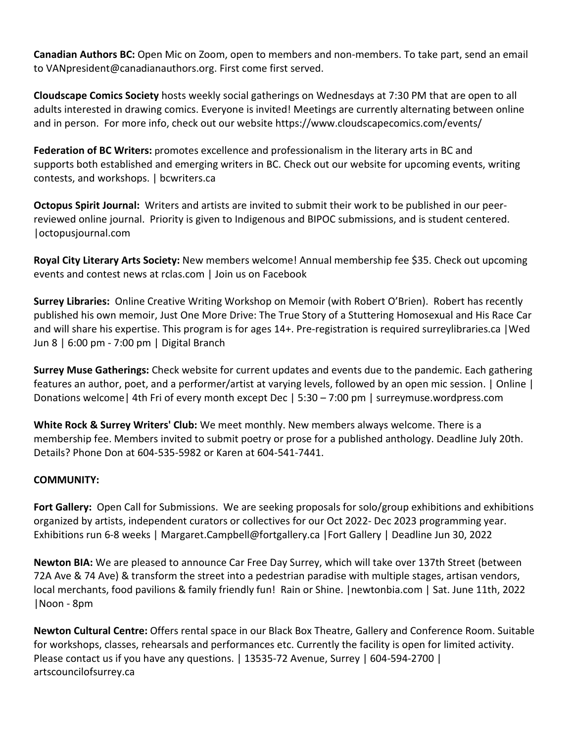**Canadian Authors BC:** Open Mic on Zoom, open to members and non-members. To take part, send an email to VANpresident@canadianauthors.org. First come first served.

**Cloudscape Comics Society** hosts weekly social gatherings on Wednesdays at 7:30 PM that are open to all adults interested in drawing comics. Everyone is invited! Meetings are currently alternating between online and in person. For more info, check out our website https://www.cloudscapecomics.com/events/

**Federation of BC Writers:** promotes excellence and professionalism in the literary arts in BC and supports both established and emerging writers in BC. Check out our website for upcoming events, writing contests, and workshops. | bcwriters.ca

**Octopus Spirit Journal:** Writers and artists are invited to submit their work to be published in our peerreviewed online journal. Priority is given to Indigenous and BIPOC submissions, and is student centered. |octopusjournal.com

**Royal City Literary Arts Society:** New members welcome! Annual membership fee \$35. Check out upcoming events and contest news at rclas.com | Join us on Facebook

**Surrey Libraries:** Online Creative Writing Workshop on Memoir (with Robert O'Brien). Robert has recently published his own memoir, Just One More Drive: The True Story of a Stuttering Homosexual and His Race Car and will share his expertise. This program is for ages 14+. Pre-registration is required surreylibraries.ca |Wed Jun 8 | 6:00 pm - 7:00 pm | Digital Branch

**Surrey Muse Gatherings:** Check website for current updates and events due to the pandemic. Each gathering features an author, poet, and a performer/artist at varying levels, followed by an open mic session. | Online | Donations welcome| 4th Fri of every month except Dec | 5:30 – 7:00 pm | surreymuse.wordpress.com

**White Rock & Surrey Writers' Club:** We meet monthly. New members always welcome. There is a membership fee. Members invited to submit poetry or prose for a published anthology. Deadline July 20th. Details? Phone Don at 604-535-5982 or Karen at 604-541-7441.

# **COMMUNITY:**

**Fort Gallery:** Open Call for Submissions. We are seeking proposals for solo/group exhibitions and exhibitions organized by artists, independent curators or collectives for our Oct 2022- Dec 2023 programming year. Exhibitions run 6-8 weeks | Margaret.Campbell@fortgallery.ca |Fort Gallery | Deadline Jun 30, 2022

**Newton BIA:** We are pleased to announce Car Free Day Surrey, which will take over 137th Street (between 72A Ave & 74 Ave) & transform the street into a pedestrian paradise with multiple stages, artisan vendors, local merchants, food pavilions & family friendly fun! Rain or Shine. |newtonbia.com | Sat. June 11th, 2022 |Noon - 8pm

**Newton Cultural Centre:** Offers rental space in our Black Box Theatre, Gallery and Conference Room. Suitable for workshops, classes, rehearsals and performances etc. Currently the facility is open for limited activity. Please contact us if you have any questions. | 13535-72 Avenue, Surrey | 604-594-2700 | artscouncilofsurrey.ca